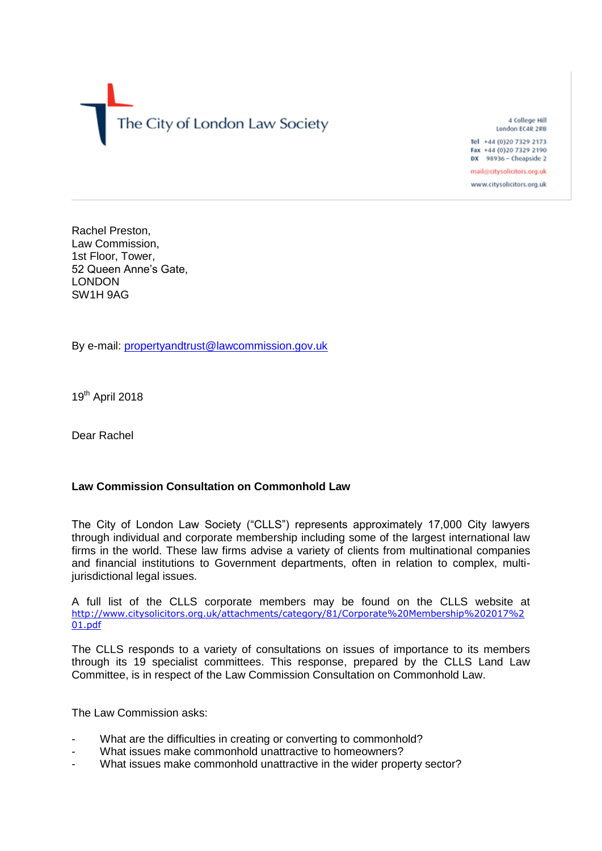

4 College Hill London EC4R 2RB Tel +44 (0)20 7329 2173

Fax +44 (0)20 7329 2190 DX 98936 - Cheapside 2

mail@citysolicitors.org.uk www.citysolicitors.org.uk

Rachel Preston, Law Commission, 1st Floor, Tower, 52 Queen Anne's Gate, LONDON SW1H 9AG

By e-mail: [propertyandtrust@lawcommission.gov.uk](mailto:propertyandtrust@lawcommission.gov.uk)

19<sup>th</sup> April 2018

Dear Rachel

### **Law Commission Consultation on Commonhold Law**

The City of London Law Society ("CLLS") represents approximately 17,000 City lawyers through individual and corporate membership including some of the largest international law firms in the world. These law firms advise a variety of clients from multinational companies and financial institutions to Government departments, often in relation to complex, multijurisdictional legal issues.

A full list of the CLLS corporate members may be found on the CLLS website at [http://www.citysolicitors.org.uk/attachments/category/81/Corporate%20Membership%202017%2](http://www.citysolicitors.org.uk/attachments/category/81/Corporate%20Membership%202017%201.pdf) [01.pdf](http://www.citysolicitors.org.uk/attachments/category/81/Corporate%20Membership%202017%201.pdf)

The CLLS responds to a variety of consultations on issues of importance to its members through its 19 specialist committees. This response, prepared by the CLLS Land Law Committee, is in respect of the Law Commission Consultation on Commonhold Law.

The Law Commission asks:

- What are the difficulties in creating or converting to commonhold?
- What issues make commonhold unattractive to homeowners?
- What issues make commonhold unattractive in the wider property sector?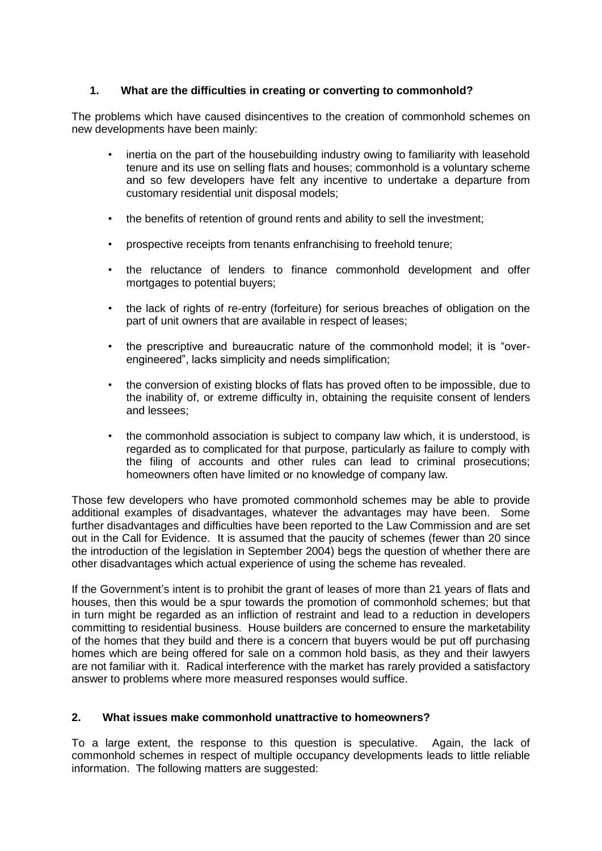## **1. What are the difficulties in creating or converting to commonhold?**

The problems which have caused disincentives to the creation of commonhold schemes on new developments have been mainly:

- inertia on the part of the housebuilding industry owing to familiarity with leasehold tenure and its use on selling flats and houses; commonhold is a voluntary scheme and so few developers have felt any incentive to undertake a departure from customary residential unit disposal models;
- the benefits of retention of ground rents and ability to sell the investment;
- prospective receipts from tenants enfranchising to freehold tenure;
- the reluctance of lenders to finance commonhold development and offer mortgages to potential buyers;
- the lack of rights of re-entry (forfeiture) for serious breaches of obligation on the part of unit owners that are available in respect of leases;
- the prescriptive and bureaucratic nature of the commonhold model; it is "overengineered", lacks simplicity and needs simplification;
- the conversion of existing blocks of flats has proved often to be impossible, due to the inability of, or extreme difficulty in, obtaining the requisite consent of lenders and lessees;
- the commonhold association is subject to company law which, it is understood, is regarded as to complicated for that purpose, particularly as failure to comply with the filing of accounts and other rules can lead to criminal prosecutions; homeowners often have limited or no knowledge of company law.

Those few developers who have promoted commonhold schemes may be able to provide additional examples of disadvantages, whatever the advantages may have been. Some further disadvantages and difficulties have been reported to the Law Commission and are set out in the Call for Evidence. It is assumed that the paucity of schemes (fewer than 20 since the introduction of the legislation in September 2004) begs the question of whether there are other disadvantages which actual experience of using the scheme has revealed.

If the Government's intent is to prohibit the grant of leases of more than 21 years of flats and houses, then this would be a spur towards the promotion of commonhold schemes; but that in turn might be regarded as an infliction of restraint and lead to a reduction in developers committing to residential business. House builders are concerned to ensure the marketability of the homes that they build and there is a concern that buyers would be put off purchasing homes which are being offered for sale on a common hold basis, as they and their lawyers are not familiar with it. Radical interference with the market has rarely provided a satisfactory answer to problems where more measured responses would suffice.

### **2. What issues make commonhold unattractive to homeowners?**

To a large extent, the response to this question is speculative. Again, the lack of commonhold schemes in respect of multiple occupancy developments leads to little reliable information. The following matters are suggested: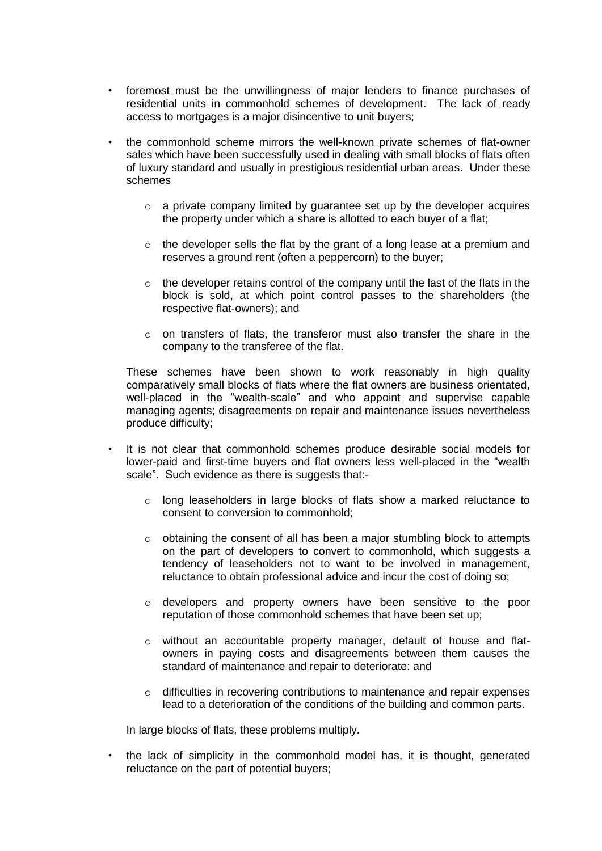- foremost must be the unwillingness of major lenders to finance purchases of residential units in commonhold schemes of development. The lack of ready access to mortgages is a major disincentive to unit buyers;
- the commonhold scheme mirrors the well-known private schemes of flat-owner sales which have been successfully used in dealing with small blocks of flats often of luxury standard and usually in prestigious residential urban areas. Under these schemes
	- $\circ$  a private company limited by quarantee set up by the developer acquires the property under which a share is allotted to each buyer of a flat;
	- $\circ$  the developer sells the flat by the grant of a long lease at a premium and reserves a ground rent (often a peppercorn) to the buyer;
	- $\circ$  the developer retains control of the company until the last of the flats in the block is sold, at which point control passes to the shareholders (the respective flat-owners); and
	- $\circ$  on transfers of flats, the transferor must also transfer the share in the company to the transferee of the flat.

These schemes have been shown to work reasonably in high quality comparatively small blocks of flats where the flat owners are business orientated, well-placed in the "wealth-scale" and who appoint and supervise capable managing agents; disagreements on repair and maintenance issues nevertheless produce difficulty;

- It is not clear that commonhold schemes produce desirable social models for lower-paid and first-time buyers and flat owners less well-placed in the "wealth scale". Such evidence as there is suggests that:
	- o long leaseholders in large blocks of flats show a marked reluctance to consent to conversion to commonhold;
	- $\circ$  obtaining the consent of all has been a major stumbling block to attempts on the part of developers to convert to commonhold, which suggests a tendency of leaseholders not to want to be involved in management, reluctance to obtain professional advice and incur the cost of doing so;
	- o developers and property owners have been sensitive to the poor reputation of those commonhold schemes that have been set up;
	- o without an accountable property manager, default of house and flatowners in paying costs and disagreements between them causes the standard of maintenance and repair to deteriorate: and
	- o difficulties in recovering contributions to maintenance and repair expenses lead to a deterioration of the conditions of the building and common parts.

In large blocks of flats, these problems multiply.

• the lack of simplicity in the commonhold model has, it is thought, generated reluctance on the part of potential buyers;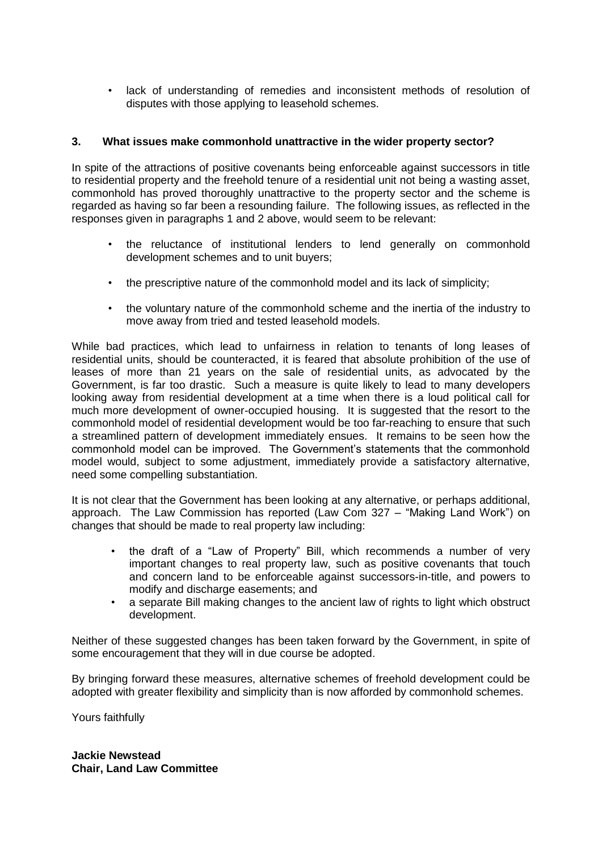lack of understanding of remedies and inconsistent methods of resolution of disputes with those applying to leasehold schemes.

#### **3. What issues make commonhold unattractive in the wider property sector?**

In spite of the attractions of positive covenants being enforceable against successors in title to residential property and the freehold tenure of a residential unit not being a wasting asset, commonhold has proved thoroughly unattractive to the property sector and the scheme is regarded as having so far been a resounding failure. The following issues, as reflected in the responses given in paragraphs 1 and 2 above, would seem to be relevant:

- the reluctance of institutional lenders to lend generally on commonhold development schemes and to unit buyers;
- the prescriptive nature of the commonhold model and its lack of simplicity;
- the voluntary nature of the commonhold scheme and the inertia of the industry to move away from tried and tested leasehold models.

While bad practices, which lead to unfairness in relation to tenants of long leases of residential units, should be counteracted, it is feared that absolute prohibition of the use of leases of more than 21 years on the sale of residential units, as advocated by the Government, is far too drastic. Such a measure is quite likely to lead to many developers looking away from residential development at a time when there is a loud political call for much more development of owner-occupied housing. It is suggested that the resort to the commonhold model of residential development would be too far-reaching to ensure that such a streamlined pattern of development immediately ensues. It remains to be seen how the commonhold model can be improved. The Government's statements that the commonhold model would, subject to some adjustment, immediately provide a satisfactory alternative, need some compelling substantiation.

It is not clear that the Government has been looking at any alternative, or perhaps additional, approach. The Law Commission has reported (Law Com 327 – "Making Land Work") on changes that should be made to real property law including:

- the draft of a "Law of Property" Bill, which recommends a number of very important changes to real property law, such as positive covenants that touch and concern land to be enforceable against successors-in-title, and powers to modify and discharge easements; and
- a separate Bill making changes to the ancient law of rights to light which obstruct development.

Neither of these suggested changes has been taken forward by the Government, in spite of some encouragement that they will in due course be adopted.

By bringing forward these measures, alternative schemes of freehold development could be adopted with greater flexibility and simplicity than is now afforded by commonhold schemes.

Yours faithfully

**Jackie Newstead Chair, Land Law Committee**